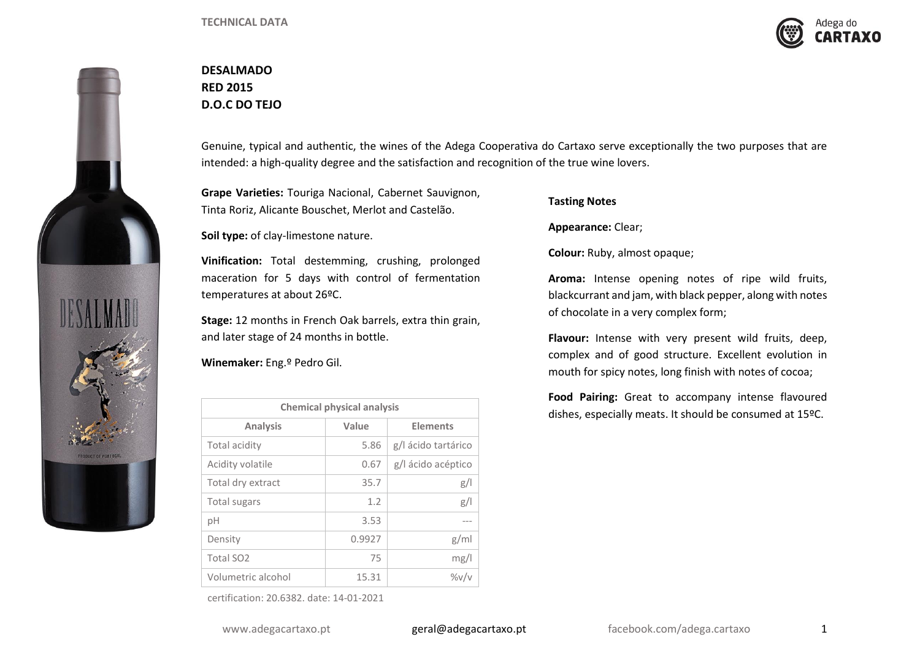

## **DESALMADO RED 2015 D.O.C DO TEJO**

Genuine, typical and authentic, the wines of the Adega Cooperativa do Cartaxo serve exceptionally the two purposes that are intended: a high-quality degree and the satisfaction and recognition of the true wine lovers.

**Grape Varieties:** Touriga Nacional, Cabernet Sauvignon, Tinta Roriz, Alicante Bouschet, Merlot and Castelão.

**Soil type:** of clay-limestone nature.

**Vinification:** Total destemming, crushing, prolonged maceration for 5 days with control of fermentation temperatures at about 26ºC.

**Stage:** 12 months in French Oak barrels, extra thin grain, and later stage of 24 months in bottle.

**Winemaker:** Eng.º Pedro Gil.

PRODUCT OF PORTUGA

| <b>Chemical physical analysis</b> |        |                     |  |  |
|-----------------------------------|--------|---------------------|--|--|
| <b>Analysis</b>                   | Value  | <b>Elements</b>     |  |  |
| Total acidity                     | 5.86   | g/l ácido tartárico |  |  |
| Acidity volatile                  | 0.67   | g/l ácido acéptico  |  |  |
| Total dry extract                 | 35.7   | g/                  |  |  |
| Total sugars                      | 1.2    | g/                  |  |  |
| pH                                | 3.53   |                     |  |  |
| Density                           | 0.9927 | g/ml                |  |  |
| Total SO <sub>2</sub>             | 75     | mg/l                |  |  |
| Volumetric alcohol                | 15.31  | $\frac{9}{V}$       |  |  |

certification: 20.6382. date: 14-01-2021

## **Tasting Notes**

**Appearance:** Clear;

**Colour:** Ruby, almost opaque;

**Aroma:** Intense opening notes of ripe wild fruits, blackcurrant and jam, with black pepper, along with notes of chocolate in a very complex form;

**Flavour:** Intense with very present wild fruits, deep, complex and of good structure. Excellent evolution in mouth for spicy notes, long finish with notes of cocoa;

**Food Pairing:** Great to accompany intense flavoured dishes, especially meats. It should be consumed at 15ºC.